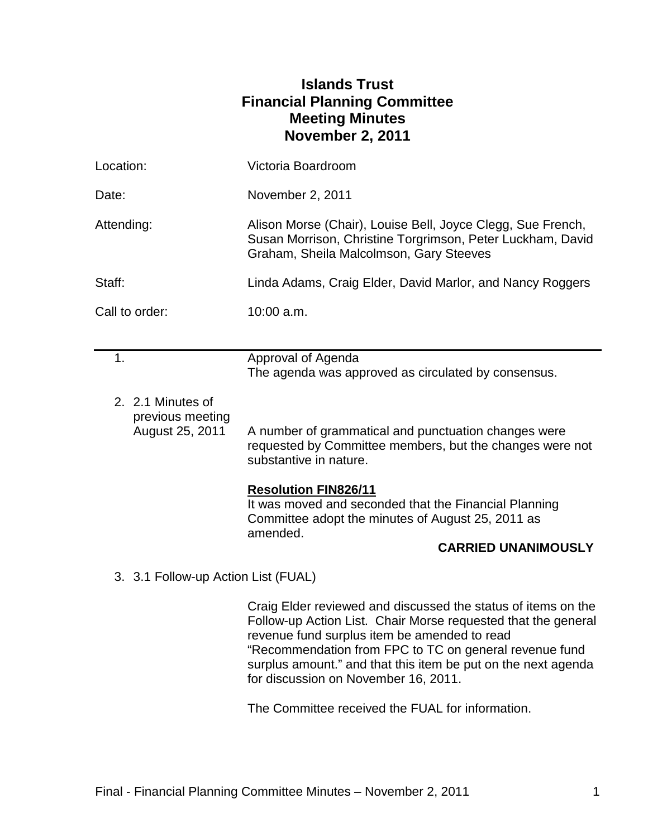# **Islands Trust Financial Planning Committee Meeting Minutes November 2, 2011**

| Location:                           |                                                          | Victoria Boardroom                                                                                                                                                                                                                                                                                        |
|-------------------------------------|----------------------------------------------------------|-----------------------------------------------------------------------------------------------------------------------------------------------------------------------------------------------------------------------------------------------------------------------------------------------------------|
| Date:                               |                                                          | November 2, 2011                                                                                                                                                                                                                                                                                          |
| Attending:                          |                                                          | Alison Morse (Chair), Louise Bell, Joyce Clegg, Sue French,<br>Susan Morrison, Christine Torgrimson, Peter Luckham, David<br>Graham, Sheila Malcolmson, Gary Steeves                                                                                                                                      |
| Staff:                              |                                                          | Linda Adams, Craig Elder, David Marlor, and Nancy Roggers                                                                                                                                                                                                                                                 |
| Call to order:                      |                                                          | 10:00 a.m.                                                                                                                                                                                                                                                                                                |
|                                     |                                                          |                                                                                                                                                                                                                                                                                                           |
| 1.                                  |                                                          | Approval of Agenda<br>The agenda was approved as circulated by consensus.                                                                                                                                                                                                                                 |
|                                     | 2. 2.1 Minutes of<br>previous meeting<br>August 25, 2011 | A number of grammatical and punctuation changes were<br>requested by Committee members, but the changes were not<br>substantive in nature.                                                                                                                                                                |
|                                     |                                                          | Resolution FIN826/11<br>It was moved and seconded that the Financial Planning<br>Committee adopt the minutes of August 25, 2011 as<br>amended.<br><b>CARRIED UNANIMOUSLY</b>                                                                                                                              |
| 3. 3.1 Follow-up Action List (FUAL) |                                                          |                                                                                                                                                                                                                                                                                                           |
|                                     |                                                          | Craig Elder reviewed and discussed the status of items on the<br>Follow-up Action List. Chair Morse requested that the general<br>revenue fund surplus item be amended to read<br>"Recommendation from FPC to TC on general revenue fund<br>surplus amount." and that this item be put on the next agenda |

The Committee received the FUAL for information.

for discussion on November 16, 2011.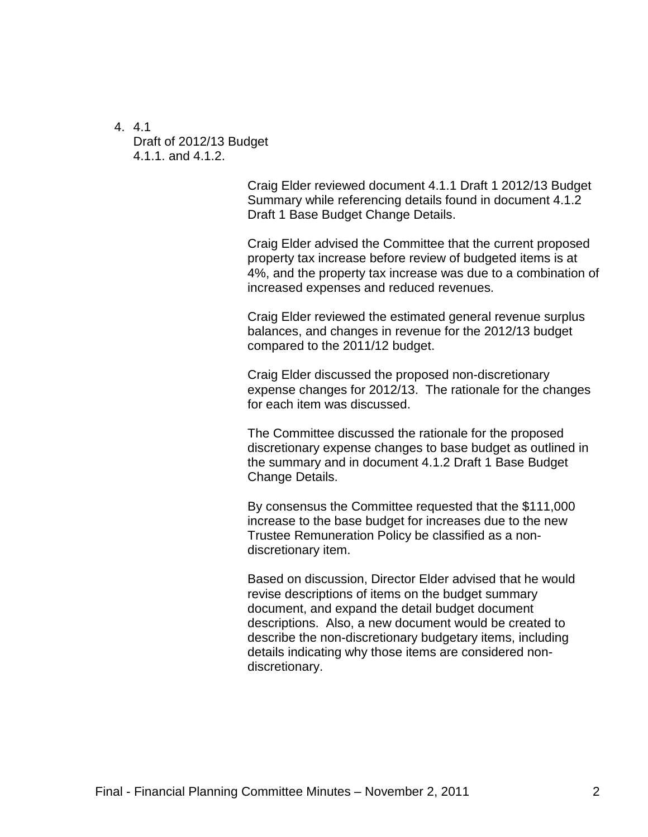4. 4.1

Draft of 2012/13 Budget 4.1.1. and 4.1.2.

> Craig Elder reviewed document 4.1.1 Draft 1 2012/13 Budget Summary while referencing details found in document 4.1.2 Draft 1 Base Budget Change Details.

Craig Elder advised the Committee that the current proposed property tax increase before review of budgeted items is at 4%, and the property tax increase was due to a combination of increased expenses and reduced revenues.

Craig Elder reviewed the estimated general revenue surplus balances, and changes in revenue for the 2012/13 budget compared to the 2011/12 budget.

Craig Elder discussed the proposed non-discretionary expense changes for 2012/13. The rationale for the changes for each item was discussed.

The Committee discussed the rationale for the proposed discretionary expense changes to base budget as outlined in the summary and in document 4.1.2 Draft 1 Base Budget Change Details.

By consensus the Committee requested that the \$111,000 increase to the base budget for increases due to the new Trustee Remuneration Policy be classified as a nondiscretionary item.

Based on discussion, Director Elder advised that he would revise descriptions of items on the budget summary document, and expand the detail budget document descriptions. Also, a new document would be created to describe the non-discretionary budgetary items, including details indicating why those items are considered nondiscretionary.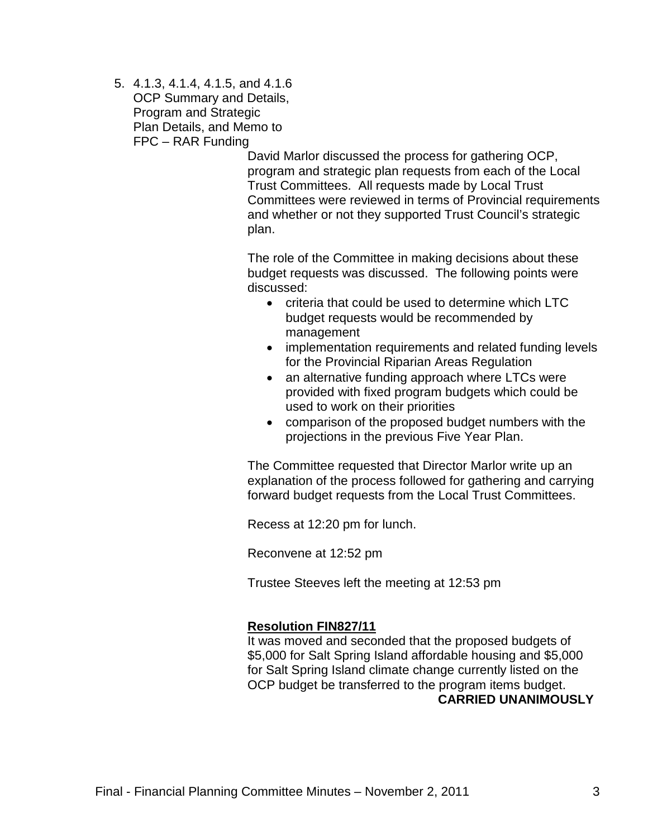5. 4.1.3, 4.1.4, 4.1.5, and 4.1.6 OCP Summary and Details, Program and Strategic Plan Details, and Memo to FPC – RAR Funding

> David Marlor discussed the process for gathering OCP, program and strategic plan requests from each of the Local Trust Committees. All requests made by Local Trust Committees were reviewed in terms of Provincial requirements and whether or not they supported Trust Council's strategic plan.

The role of the Committee in making decisions about these budget requests was discussed. The following points were discussed:

- criteria that could be used to determine which LTC budget requests would be recommended by management
- implementation requirements and related funding levels for the Provincial Riparian Areas Regulation
- an alternative funding approach where LTCs were provided with fixed program budgets which could be used to work on their priorities
- comparison of the proposed budget numbers with the projections in the previous Five Year Plan.

The Committee requested that Director Marlor write up an explanation of the process followed for gathering and carrying forward budget requests from the Local Trust Committees.

Recess at 12:20 pm for lunch.

Reconvene at 12:52 pm

Trustee Steeves left the meeting at 12:53 pm

#### **Resolution FIN827/11**

It was moved and seconded that the proposed budgets of \$5,000 for Salt Spring Island affordable housing and \$5,000 for Salt Spring Island climate change currently listed on the OCP budget be transferred to the program items budget. **CARRIED UNANIMOUSLY**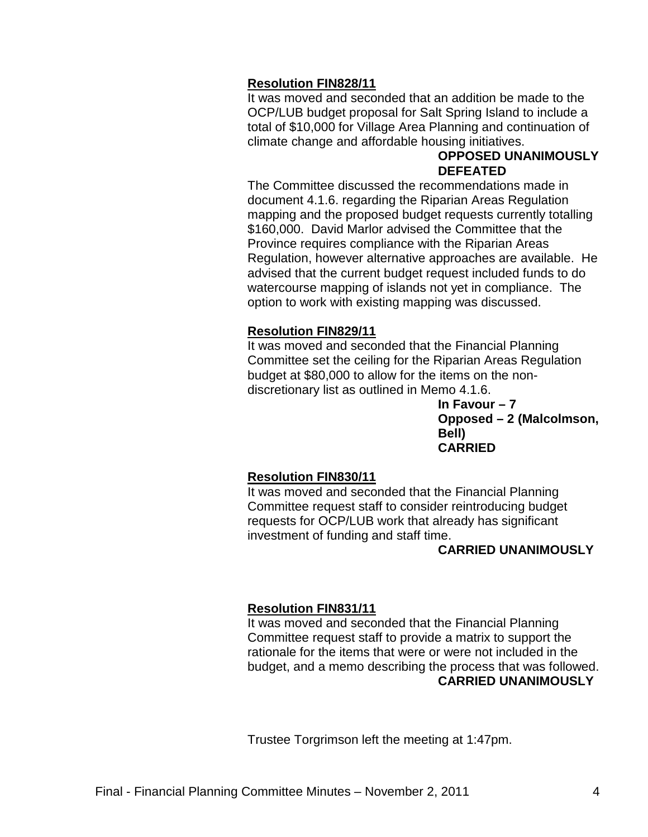#### **Resolution FIN828/11**

It was moved and seconded that an addition be made to the OCP/LUB budget proposal for Salt Spring Island to include a total of \$10,000 for Village Area Planning and continuation of climate change and affordable housing initiatives.

#### **OPPOSED UNANIMOUSLY DEFEATED**

The Committee discussed the recommendations made in document 4.1.6. regarding the Riparian Areas Regulation mapping and the proposed budget requests currently totalling \$160,000. David Marlor advised the Committee that the Province requires compliance with the Riparian Areas Regulation, however alternative approaches are available. He advised that the current budget request included funds to do watercourse mapping of islands not yet in compliance. The option to work with existing mapping was discussed.

#### **Resolution FIN829/11**

It was moved and seconded that the Financial Planning Committee set the ceiling for the Riparian Areas Regulation budget at \$80,000 to allow for the items on the nondiscretionary list as outlined in Memo 4.1.6.

> **In Favour – 7 Opposed – 2 (Malcolmson, Bell) CARRIED**

### **Resolution FIN830/11**

It was moved and seconded that the Financial Planning Committee request staff to consider reintroducing budget requests for OCP/LUB work that already has significant investment of funding and staff time.

#### **CARRIED UNANIMOUSLY**

#### **Resolution FIN831/11**

It was moved and seconded that the Financial Planning Committee request staff to provide a matrix to support the rationale for the items that were or were not included in the budget, and a memo describing the process that was followed. **CARRIED UNANIMOUSLY**

Trustee Torgrimson left the meeting at 1:47pm.